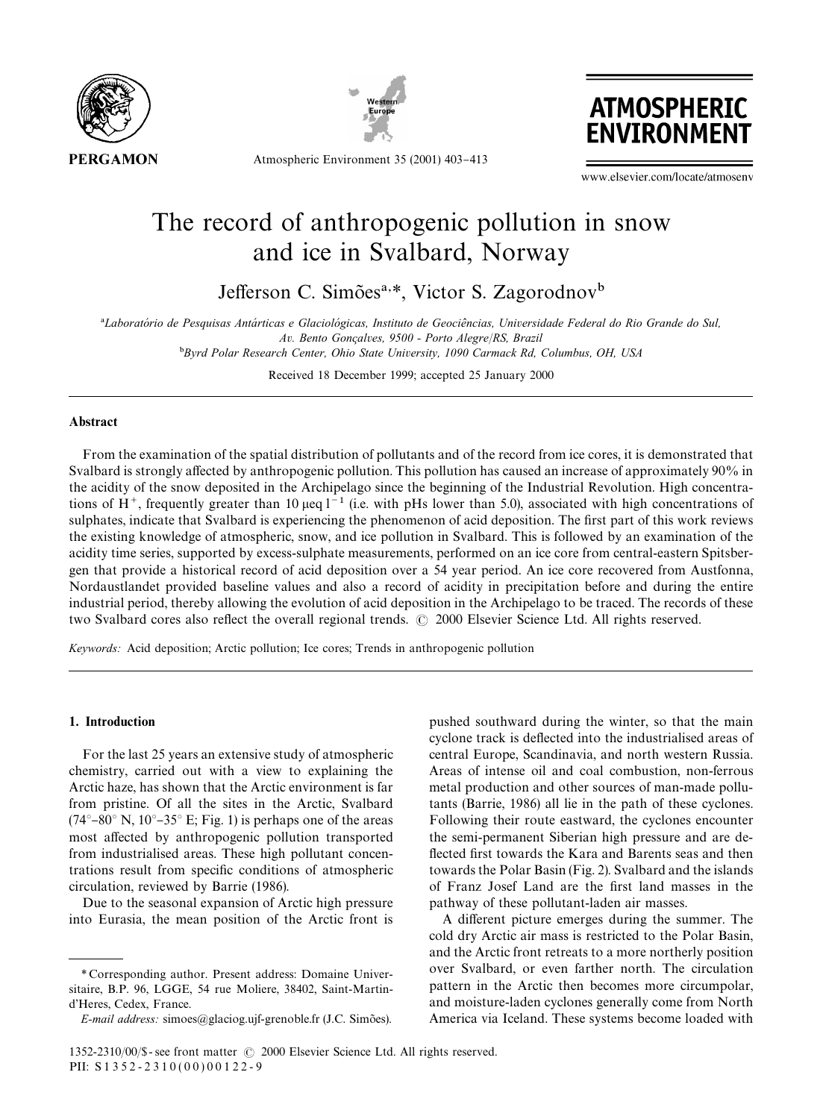



**ATMOSPHERIC ENVIRONMEN** 

Atmospheric Environment 35 (2001) 403-413

www.elsevier.com/locate/atmosenv

# The record of anthropogenic pollution in snow and ice in Svalbard, Norway

Jefferson C. Simões<sup>a,\*</sup>, Victor S. Zagorodnov<sup>b</sup>

<sup>a</sup>Laboratório de Pesquisas Antárticas e Glaciológicas, Instituto de Geociências, Universidade Federal do Rio Grande do Sul, *Av. Bento Gonc*7*alves, 9500 - Porto Alegre*/*RS, Brazil* "*Byrd Polar Research Center, Ohio State University, 1090 Carmack Rd, Columbus, OH, USA*

Received 18 December 1999; accepted 25 January 2000

## **Abstract**

From the examination of the spatial distribution of pollutants and of the record from ice cores, it is demonstrated that Svalbard is strongly affected by anthropogenic pollution. This pollution has caused an increase of approximately 90% in the acidity of the snow deposited in the Archipelago since the beginning of the Industrial Revolution. High concentrations of H<sup>+</sup>, frequently greater than 10  $\mu$ eq l<sup>-1</sup> (i.e. with pHs lower than 5.0), associated with high concentrations of sulphates, indicate that Svalbard is experiencing the phenomenon of acid deposition. The first part of this work reviews the existing knowledge of atmospheric, snow, and ice pollution in Svalbard. This is followed by an examination of the acidity time series, supported by excess-sulphate measurements, performed on an ice core from central-eastern Spitsbergen that provide a historical record of acid deposition over a 54 year period. An ice core recovered from Austfonna, Nordaustlandet provided baseline values and also a record of acidity in precipitation before and during the entire industrial period, thereby allowing the evolution of acid deposition in the Archipelago to be traced. The records of these two Svalbard cores also reflect the overall regional trends. © 2000 Elsevier Science Ltd. All rights reserved.

*Keywords:* Acid deposition; Arctic pollution; Ice cores; Trends in anthropogenic pollution

# 1. Introduction

For the last 25 years an extensive study of atmospheric chemistry, carried out with a view to explaining the Arctic haze, has shown that the Arctic environment is far from pristine. Of all the sites in the Arctic, Svalbard  $(74^{\circ}-80^{\circ} \text{ N}, 10^{\circ}-35^{\circ} \text{ E}; \text{ Fig. 1})$  is perhaps one of the areas most affected by anthropogenic pollution transported from industrialised areas. These high pollutant concentrations result from specific conditions of atmospheric circulation, reviewed by Barrie (1986).

Due to the seasonal expansion of Arctic high pressure into Eurasia, the mean position of the Arctic front is

pushed southward during the winter, so that the main cyclone track is deflected into the industrialised areas of central Europe, Scandinavia, and north western Russia. Areas of intense oil and coal combustion, non-ferrous metal production and other sources of man-made pollutants (Barrie, 1986) all lie in the path of these cyclones. Following their route eastward, the cyclones encounter the semi-permanent Siberian high pressure and are de flected first towards the Kara and Barents seas and then towards the Polar Basin (Fig. 2). Svalbard and the islands of Franz Josef Land are the first land masses in the pathway of these pollutant-laden air masses.

A different picture emerges during the summer. The cold dry Arctic air mass is restricted to the Polar Basin, and the Arctic front retreats to a more northerly position over Svalbard, or even farther north. The circulation pattern in the Arctic then becomes more circumpolar, and moisture-laden cyclones generally come from North America via Iceland. These systems become loaded with

*<sup>\*</sup>* Corresponding author. Present address: Domaine Universitaire, B.P. 96, LGGE, 54 rue Moliere, 38402, Saint-Martind'Heres, Cedex, France.

*E-mail address:* simoes@glaciog.ujf-grenoble.fr (J.C. Simões).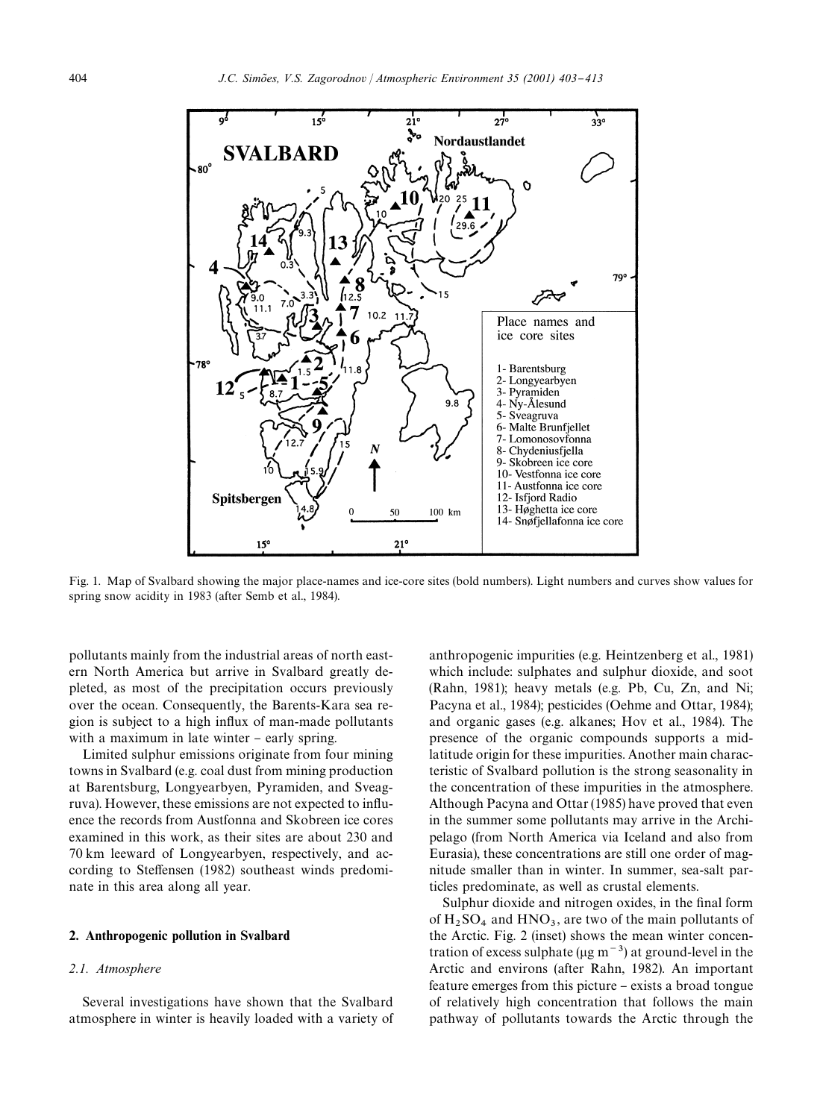

Fig. 1. Map of Svalbard showing the major place-names and ice-core sites (bold numbers). Light numbers and curves show values for spring snow acidity in 1983 (after Semb et al., 1984).

pollutants mainly from the industrial areas of north eastern North America but arrive in Svalbard greatly depleted, as most of the precipitation occurs previously over the ocean. Consequently, the Barents-Kara sea region is subject to a high influx of man-made pollutants with a maximum in late winter - early spring.

Limited sulphur emissions originate from four mining towns in Svalbard (e.g. coal dust from mining production at Barentsburg, Longyearbyen, Pyramiden, and Sveagruva). However, these emissions are not expected to influence the records from Austfonna and Skobreen ice cores examined in this work, as their sites are about 230 and 70 km leeward of Longyearbyen, respectively, and according to Steffensen (1982) southeast winds predominate in this area along all year.

## 2. Anthropogenic pollution in Svalbard

## *2.1. Atmosphere*

Several investigations have shown that the Svalbard atmosphere in winter is heavily loaded with a variety of anthropogenic impurities (e.g. Heintzenberg et al., 1981) which include: sulphates and sulphur dioxide, and soot (Rahn, 1981); heavy metals (e.g. Pb, Cu, Zn, and Ni; Pacyna et al., 1984); pesticides (Oehme and Ottar, 1984); and organic gases (e.g. alkanes; Hov et al., 1984). The presence of the organic compounds supports a midlatitude origin for these impurities. Another main characteristic of Svalbard pollution is the strong seasonality in the concentration of these impurities in the atmosphere. Although Pacyna and Ottar (1985) have proved that even in the summer some pollutants may arrive in the Archipelago (from North America via Iceland and also from Eurasia), these concentrations are still one order of magnitude smaller than in winter. In summer, sea-salt particles predominate, as well as crustal elements.

Sulphur dioxide and nitrogen oxides, in the final form of  $H_2$  SO<sub>4</sub> and HNO<sub>3</sub>, are two of the main pollutants of the Arctic. Fig. 2 (inset) shows the mean winter concentration of excess sulphate ( $\mu$ g m<sup>-3</sup>) at ground-level in the Arctic and environs (after Rahn, 1982). An important feature emerges from this picture - exists a broad tongue of relatively high concentration that follows the main pathway of pollutants towards the Arctic through the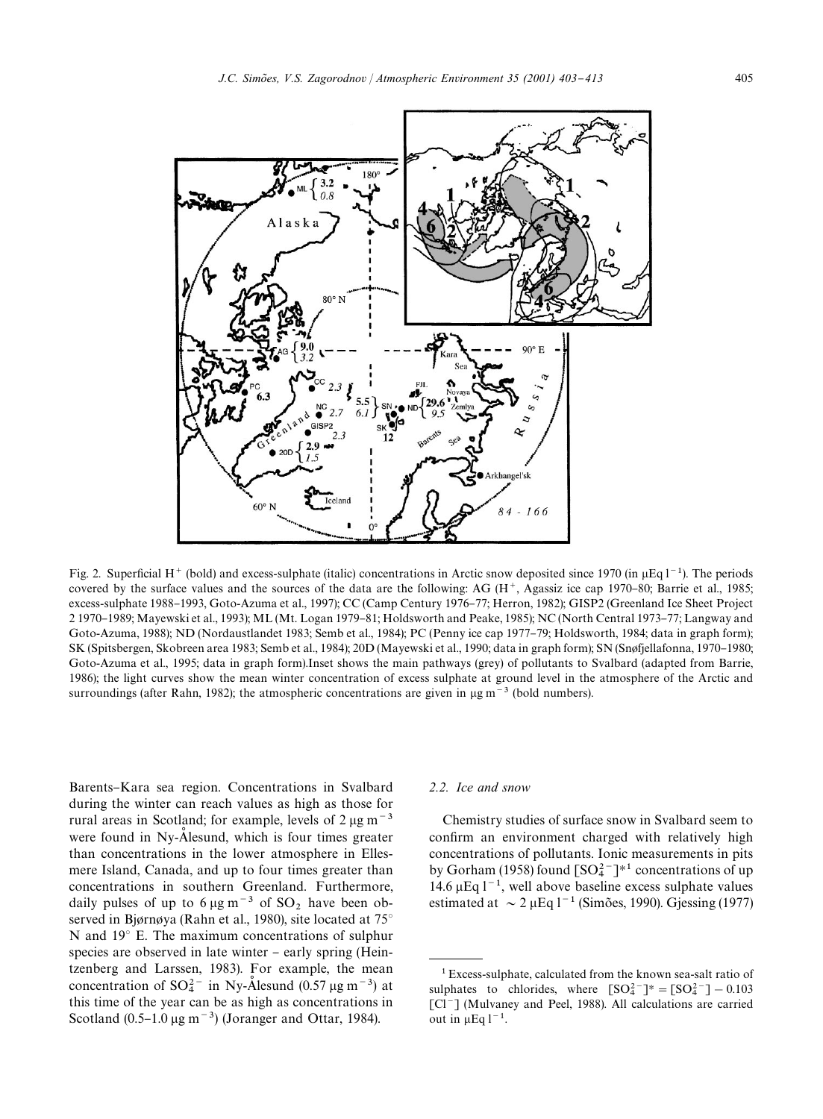

Fig. 2. Superficial H<sup>+</sup> (bold) and excess-sulphate (italic) concentrations in Arctic snow deposited since 1970 (in  $\mu$ Eq l<sup>-1</sup>). The periods covered by the surface values and the sources of the data are the following: AG  $(H<sup>+</sup>, Agassiz$  ice cap 1970–80; Barrie et al., 1985; excess-sulphate 1988–1993, Goto-Azuma et al., 1997); CC (Camp Century 1976–77; Herron, 1982); GISP2 (Greenland Ice Sheet Project 2 1970–1989; Mayewski et al., 1993); ML (Mt. Logan 1979–81; Holdsworth and Peake, 1985); NC (North Central 1973–77; Langway and Goto-Azuma, 1988); ND (Nordaustlandet 1983; Semb et al., 1984); PC (Penny ice cap 1977-79; Holdsworth, 1984; data in graph form); SK (Spitsbergen, Skobreen area 1983; Semb et al., 1984); 20D (Mayewski et al., 1990; data in graph form); SN (Snøfjellafonna, 1970–1980; Goto-Azuma et al., 1995; data in graph form).Inset shows the main pathways (grey) of pollutants to Svalbard (adapted from Barrie, 1986); the light curves show the mean winter concentration of excess sulphate at ground level in the atmosphere of the Arctic and surroundings (after Rahn, 1982); the atmospheric concentrations are given in  $\mu$ g m<sup>-3</sup> (bold numbers).

Barents–Kara sea region. Concentrations in Svalbard during the winter can reach values as high as those for rural areas in Scotland; for example, levels of  $2 \mu g m^{-3}$ were found in Ny-Alesund, which is four times greater than concentrations in the lower atmosphere in Ellesmere Island, Canada, and up to four times greater than concentrations in southern Greenland. Furthermore, daily pulses of up to  $6 \mu g m^{-3}$  of  $SO_2$  have been observed in Bjørnøya (Rahn et al., 1980), site located at  $75^\circ$ N and  $19^{\circ}$  E. The maximum concentrations of sulphur species are observed in late winter – early spring (Heintzenberg and Larssen, 1983). For example, the mean concentration of  $SO_4^{2-}$  in Ny-Alesund (0.57 µg m<sup>-3</sup>) at this time of the year can be as high as concentrations in Scotland  $(0.5-1.0 \,\mathrm{\upmu g \, m}^{-3})$  (Joranger and Ottar, 1984).

## *2.2. Ice and snow*

Chemistry studies of surface snow in Svalbard seem to confirm an environment charged with relatively high concentrations of pollutants. Ionic measurements in pits by Gorham (1958) found  $\lceil SO_4^{2-} \rceil^{*1}$  concentrations of up 14.6  $\mu$ Eq l<sup>-1</sup>, well above baseline excess sulphate values estimated at  $\sim 2 \mu$ Eq l<sup>-1</sup> (Simões, 1990). Gjessing (1977)

<sup>1</sup>Excess-sulphate, calculated from the known sea-salt ratio of sulphates to chlorides, where  $[SO_4^{2-}]^* = [SO_4^{2-}] - 0.103$ [Cl<sup>-</sup>] (Mulvaney and Peel, 1988). All calculations are carried out in  $\mu$ Eq l<sup>-1</sup>.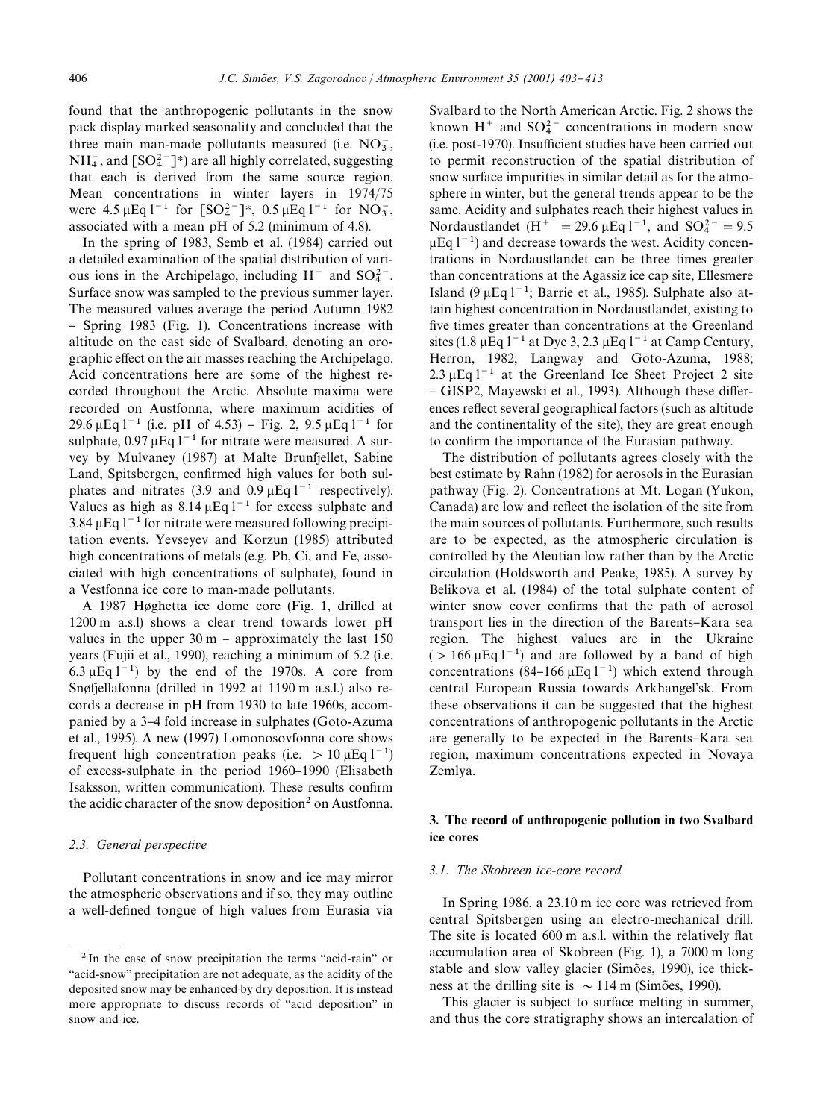found that the anthropogenic pollutants in the snow pack display marked seasonality and concluded that the three main man-made pollutants measured (i.e.  $NO_3^-$ )  $NH_4^+$ , and  $[SO_4^{2-}]^*$ ) are all highly correlated, suggesting that each is derived from the same source region. Mean concentrations in winter layers in 1974/75 were  $4.5 \mu$ Eq l<sup>-1</sup> for  $[SO_4^{2-}]^*$ , 0.5  $\mu$ Eq l<sup>-1</sup> for NO<sub>3</sub>, associated with a mean pH of 5.2 (minimum of 4.8).

In the spring of 1983, Semb et al. (1984) carried out a detailed examination of the spatial distribution of various ions in the Archipelago, including  $H^+$  and  $SO_4^{2-}$ . Surface snow was sampled to the previous summer layer. The measured values average the period Autumn 1982 - Spring 1983 (Fig. 1). Concentrations increase with altitude on the east side of Svalbard, denoting an orographic effect on the air masses reaching the Archipelago. Acid concentrations here are some of the highest recorded throughout the Arctic. Absolute maxima were recorded on Austfonna, where maximum acidities of 29.6  $\mu$ Eq l<sup>-1</sup> (i.e. pH of 4.53) – Fig. 2, 9.5  $\mu$ Eq l<sup>-1</sup> for sulphate,  $0.97 \mu$ Eq l<sup>-1</sup> for nitrate were measured. A survey by Mulvaney (1987) at Malte Brunfjellet, Sabine Land, Spitsbergen, confirmed high values for both sulphates and nitrates (3.9 and 0.9  $\mu$ Eq l<sup>-1</sup> respectively). Values as high as  $8.14 \mu$ Eq  $1^{-1}$  for excess sulphate and 3.84  $\mu$ Eq l<sup>-1</sup> for nitrate were measured following precipitation events. Yevseyev and Korzun (1985) attributed high concentrations of metals (e.g. Pb, Ci, and Fe, associated with high concentrations of sulphate), found in a Vestfonna ice core to man-made pollutants.

A 1987 Høghetta ice dome core (Fig. 1, drilled at 1200 m a.s.l) shows a clear trend towards lower pH values in the upper  $30 \text{ m}$  – approximately the last 150 years (Fujii et al., 1990), reaching a minimum of 5.2 (i.e. 6.3  $\mu$ Eq l<sup>-1</sup>) by the end of the 1970s. A core from Snøfjellafonna (drilled in 1992 at 1190 m a.s.l.) also records a decrease in pH from 1930 to late 1960s, accompanied by a 3-4 fold increase in sulphates (Goto-Azuma et al., 1995). A new (1997) Lomonosovfonna core shows frequent high concentration peaks (i.e.  $> 10 \mu$ Eq l<sup>-1</sup>) of excess-sulphate in the period 1960–1990 (Elisabeth Isaksson, written communication). These results confirm the acidic character of the snow deposition<sup>2</sup> on Austfonna.

## *2.3. General perspective*

Pollutant concentrations in snow and ice may mirror the atmospheric observations and if so, they may outline a well-defined tongue of high values from Eurasia via

Svalbard to the North American Arctic. Fig. 2 shows the known  $H^+$  and  $SO_4^{2-}$  concentrations in modern snow (i.e. post-1970). Insufficient studies have been carried out to permit reconstruction of the spatial distribution of snow surface impurities in similar detail as for the atmosphere in winter, but the general trends appear to be the same. Acidity and sulphates reach their highest values in Nordaustlandet (H<sup>+</sup> = 29.6  $\mu$ Eq l<sup>-1</sup>, and SO<sub>4</sub><sup>2</sup> = 9.5  $\mu$ Eq 1<sup>-1</sup>) and decrease towards the west. Acidity concentrations in Nordaustlandet can be three times greater than concentrations at the Agassiz ice cap site, Ellesmere Island (9  $\mu$ Eq l<sup>-1</sup>; Barrie et al., 1985). Sulphate also attain highest concentration in Nordaustlandet, existing to five times greater than concentrations at the Greenland sites (1.8  $\mu$ Eq l<sup>-1</sup> at Dye 3, 2.3  $\mu$ Eq l<sup>-1</sup> at Camp Century, Herron, 1982; Langway and Goto-Azuma, 1988; 2.3  $\mu$ Eq l<sup>-1</sup> at the Greenland Ice Sheet Project 2 site - GISP2, Mayewski et al., 1993). Although these differences reflect several geographical factors (such as altitude and the continentality of the site), they are great enough to confirm the importance of the Eurasian pathway.

The distribution of pollutants agrees closely with the best estimate by Rahn (1982) for aerosols in the Eurasian pathway (Fig. 2). Concentrations at Mt. Logan (Yukon, Canada) are low and reflect the isolation of the site from the main sources of pollutants. Furthermore, such results are to be expected, as the atmospheric circulation is controlled by the Aleutian low rather than by the Arctic circulation (Holdsworth and Peake, 1985). A survey by Belikova et al. (1984) of the total sulphate content of winter snow cover confirms that the path of aerosol transport lies in the direction of the Barents-Kara sea region. The highest values are in the Ukraine  $(>166 \,\mu\text{Eq } 1^{-1})$  and are followed by a band of high concentrations (84-166  $\mu$ Eq l<sup>-1</sup>) which extend through central European Russia towards Arkhangel'sk. From these observations it can be suggested that the highest concentrations of anthropogenic pollutants in the Arctic are generally to be expected in the Barents-Kara sea region, maximum concentrations expected in Novaya Zemlya.

## 3. The record of anthropogenic pollution in two Svalbard ice cores

## *3.1. The Skobreen ice-core record*

In Spring 1986, a 23.10 m ice core was retrieved from central Spitsbergen using an electro-mechanical drill. The site is located 600 m a.s.l. within the relatively flat accumulation area of Skobreen (Fig. 1), a 7000 m long stable and slow valley glacier (Simões, 1990), ice thickness at the drilling site is  $\sim$  114 m (Simões, 1990).

This glacier is subject to surface melting in summer, and thus the core stratigraphy shows an intercalation of

 $2$  In the case of snow precipitation the terms "acid-rain" or "acid-snow" precipitation are not adequate, as the acidity of the deposited snow may be enhanced by dry deposition. It is instead more appropriate to discuss records of "acid deposition" in snow and ice.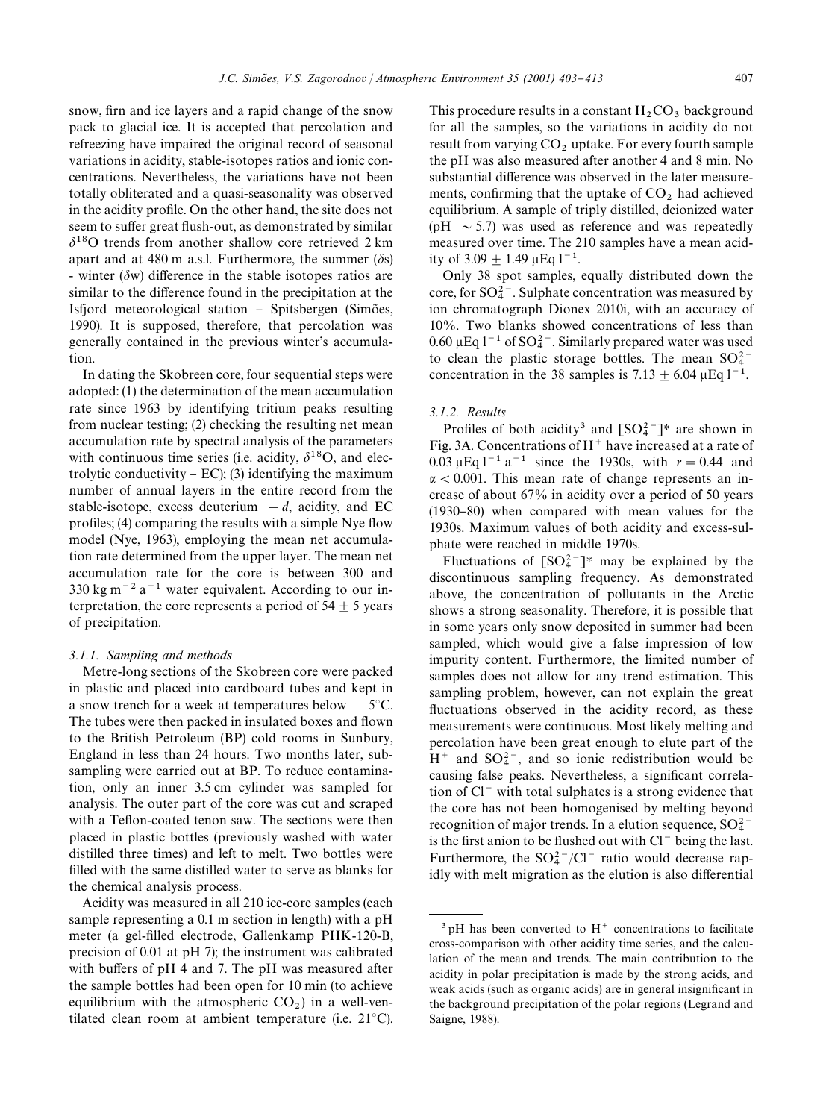snow, firn and ice layers and a rapid change of the snow pack to glacial ice. It is accepted that percolation and refreezing have impaired the original record of seasonal variations in acidity, stable-isotopes ratios and ionic concentrations. Nevertheless, the variations have not been totally obliterated and a quasi-seasonality was observed in the acidity profile. On the other hand, the site does not seem to suffer great flush-out, as demonstrated by similar  $\delta^{18}$ O trends from another shallow core retrieved 2 km apart and at 480 m a.s.l. Furthermore, the summer  $(\delta s)$ - winter ( $\delta w$ ) difference in the stable isotopes ratios are similar to the difference found in the precipitation at the Isfjord meteorological station - Spitsbergen (Simões, 1990). It is supposed, therefore, that percolation was generally contained in the previous winter's accumulation.

In dating the Skobreen core, four sequential steps were adopted: (1) the determination of the mean accumulation rate since 1963 by identifying tritium peaks resulting from nuclear testing; (2) checking the resulting net mean accumulation rate by spectral analysis of the parameters with continuous time series (i.e. acidity,  $\delta^{18}O$ , and electrolytic conductivity  $-$  EC); (3) identifying the maximum number of annual layers in the entire record from the stable-isotope, excess deuterium  $-d$ , acidity, and EC profiles; (4) comparing the results with a simple Nye flow model (Nye, 1963), employing the mean net accumulation rate determined from the upper layer. The mean net accumulation rate for the core is between 300 and  $330 \text{ kg m}^{-2}$  a<sup>-1</sup> water equivalent. According to our interpretation, the core represents a period of  $54 \pm 5$  years of precipitation.

# *3.1.1. Sampling and methods*

Metre-long sections of the Skobreen core were packed in plastic and placed into cardboard tubes and kept in a snow trench for a week at temperatures below  $-5^{\circ}$ C. The tubes were then packed in insulated boxes and flown to the British Petroleum (BP) cold rooms in Sunbury, England in less than 24 hours. Two months later, subsampling were carried out at BP. To reduce contamination, only an inner 3.5 cm cylinder was sampled for analysis. The outer part of the core was cut and scraped with a Teflon-coated tenon saw. The sections were then placed in plastic bottles (previously washed with water distilled three times) and left to melt. Two bottles were filled with the same distilled water to serve as blanks for the chemical analysis process.

Acidity was measured in all 210 ice-core samples (each sample representing a 0.1 m section in length) with a pH meter (a gel-filled electrode, Gallenkamp PHK-120-B, precision of 0.01 at pH 7); the instrument was calibrated with buffers of pH 4 and 7. The pH was measured after the sample bottles had been open for 10 min (to achieve equilibrium with the atmospheric  $CO<sub>2</sub>$ ) in a well-ventilated clean room at ambient temperature (i.e.  $21^{\circ}$ C).

This procedure results in a constant  $H_2CO_3$  background for all the samples, so the variations in acidity do not result from varying  $CO<sub>2</sub>$  uptake. For every fourth sample the pH was also measured after another 4 and 8 min. No substantial difference was observed in the later measurements, confirming that the uptake of  $CO<sub>2</sub>$  had achieved equilibrium. A sample of triply distilled, deionized water (pH  $\sim$  5.7) was used as reference and was repeatedly measured over time. The 210 samples have a mean acidity of  $3.09 \pm 1.49 \,\mu\text{Eq} \, \text{I}^{-1}$ .

Only 38 spot samples, equally distributed down the core, for  $SO_4^{2-}$ . Sulphate concentration was measured by ion chromatograph Dionex 2010i, with an accuracy of 10%. Two blanks showed concentrations of less than 0.60  $\mu$ Eq l<sup>-1</sup> of SO<sub>4</sub><sup>-</sup>. Similarly prepared water was used<br>to clean the plastic storage bottles. The mean SO<sub>4</sub><sup>-</sup> concentration in the 38 samples is 7.13  $\pm$  6.04  $\mu$ Eq l<sup>-1</sup>.

## *3.1.2. Results*

Profiles of both acidity<sup>3</sup> and  $[SO_4^{2-}]^*$  are shown in Fig. 3A. Concentrations of  $H<sup>+</sup>$  have increased at a rate of 0.03  $\mu$ Eq l<sup>-1</sup> a<sup>-1</sup> since the 1930s, with  $r = 0.44$  and  $\alpha$  < 0.001. This mean rate of change represents an increase of about 67% in acidity over a period of 50 years  $(1930-80)$  when compared with mean values for the 1930s. Maximum values of both acidity and excess-sulphate were reached in middle 1970s.

Fluctuations of  $[SO_4^2^-]^*$  may be explained by the discontinuous sampling frequency. As demonstrated above, the concentration of pollutants in the Arctic shows a strong seasonality. Therefore, it is possible that in some years only snow deposited in summer had been sampled, which would give a false impression of low impurity content. Furthermore, the limited number of samples does not allow for any trend estimation. This sampling problem, however, can not explain the great fluctuations observed in the acidity record, as these measurements were continuous. Most likely melting and percolation have been great enough to elute part of the  $H^+$  and SO<sub>4</sub><sup>-</sup>, and so ionic redistribution would be causing false peaks. Nevertheless, a significant correlation of  $Cl^-$  with total sulphates is a strong evidence that the core has not been homogenised by melting beyond recognition of major trends. In a elution sequence,  $SO_4^{2-}$  is the first anion to be flushed out with Cl<sup>-</sup> being the last. Furthermore, the  $SO_4^{2-}/Cl^-$  ratio would decrease rapidly with melt migration as the elution is also differential

 $3$  pH has been converted to H<sup>+</sup> concentrations to facilitate cross-comparison with other acidity time series, and the calculation of the mean and trends. The main contribution to the acidity in polar precipitation is made by the strong acids, and weak acids (such as organic acids) are in general insignificant in the background precipitation of the polar regions (Legrand and Saigne, 1988).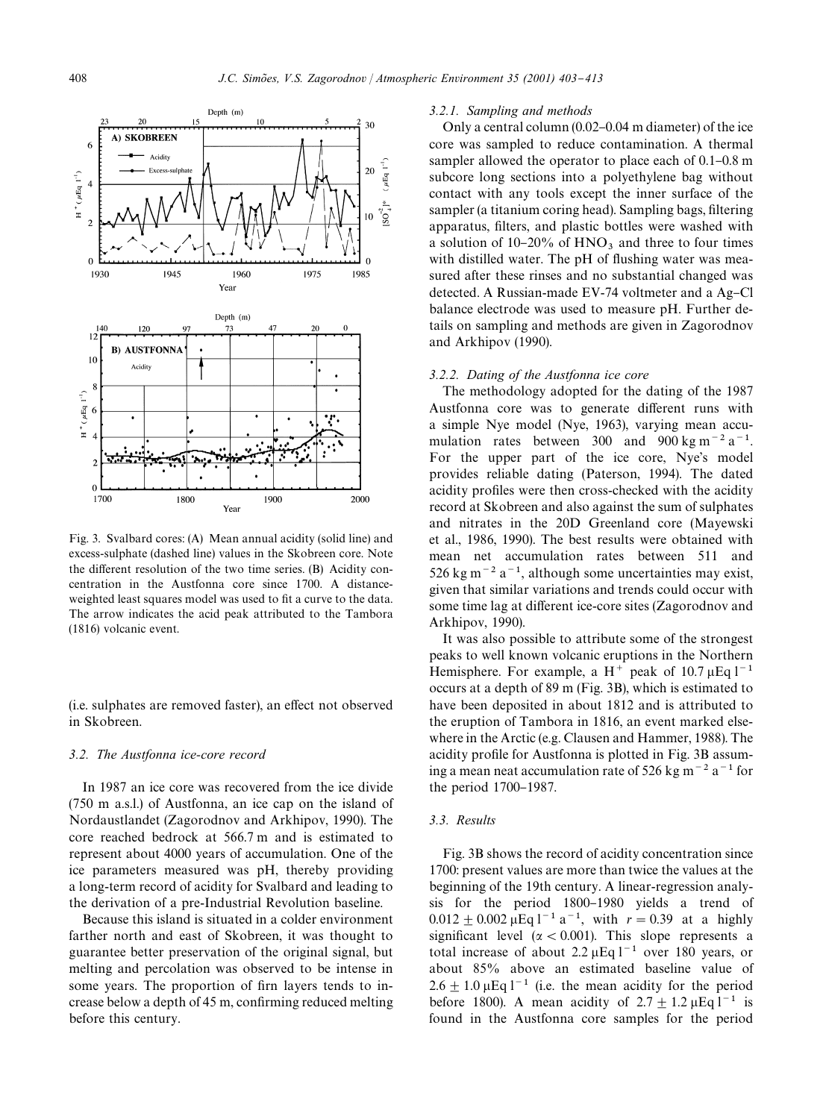

Fig. 3. Svalbard cores: (A) Mean annual acidity (solid line) and excess-sulphate (dashed line) values in the Skobreen core. Note the different resolution of the two time series. (B) Acidity concentration in the Austfonna core since 1700. A distanceweighted least squares model was used to fit a curve to the data. The arrow indicates the acid peak attributed to the Tambora (1816) volcanic event.

(i.e. sulphates are removed faster), an effect not observed in Skobreen.

#### *3.2. The Austfonna ice-core record*

In 1987 an ice core was recovered from the ice divide (750 m a.s.l.) of Austfonna, an ice cap on the island of Nordaustlandet (Zagorodnov and Arkhipov, 1990). The core reached bedrock at 566.7 m and is estimated to represent about 4000 years of accumulation. One of the ice parameters measured was pH, thereby providing a long-term record of acidity for Svalbard and leading to the derivation of a pre-Industrial Revolution baseline.

Because this island is situated in a colder environment farther north and east of Skobreen, it was thought to guarantee better preservation of the original signal, but melting and percolation was observed to be intense in some years. The proportion of firn layers tends to increase below a depth of 45 m, confirming reduced melting before this century.

#### *3.2.1. Sampling and methods*

Only a central column  $(0.02-0.04 \text{ m diameter})$  of the ice core was sampled to reduce contamination. A thermal sampler allowed the operator to place each of  $0.1-0.8$  m subcore long sections into a polyethylene bag without contact with any tools except the inner surface of the sampler (a titanium coring head). Sampling bags, filtering apparatus, filters, and plastic bottles were washed with a solution of  $10-20\%$  of  $HNO<sub>3</sub>$  and three to four times with distilled water. The pH of flushing water was measured after these rinses and no substantial changed was detected. A Russian-made EV-74 voltmeter and a Ag-Cl balance electrode was used to measure pH. Further details on sampling and methods are given in Zagorodnov and Arkhipov (1990).

## *3.2.2. Dating of the Austfonna ice core*

The methodology adopted for the dating of the 1987 Austfonna core was to generate different runs with a simple Nye model (Nye, 1963), varying mean accumulation rates between 300 and 900 kg m<sup>-2</sup> a<sup>-1</sup>. For the upper part of the ice core, Nye's model provides reliable dating (Paterson, 1994). The dated acidity profiles were then cross-checked with the acidity record at Skobreen and also against the sum of sulphates and nitrates in the 20D Greenland core (Mayewski et al., 1986, 1990). The best results were obtained with mean net accumulation rates between 511 and 526 kg m<sup> $-2$ </sup> a<sup>-1</sup>, although some uncertainties may exist, given that similar variations and trends could occur with some time lag at different ice-core sites (Zagorodnov and Arkhipov, 1990).

It was also possible to attribute some of the strongest peaks to well known volcanic eruptions in the Northern Hemisphere. For example, a H<sup>+</sup> peak of 10.7  $\mu$ Eq l<sup>-1</sup> occurs at a depth of 89 m (Fig. 3B), which is estimated to have been deposited in about 1812 and is attributed to the eruption of Tambora in 1816, an event marked elsewhere in the Arctic (e.g. Clausen and Hammer, 1988). The acidity profile for Austfonna is plotted in Fig. 3B assuming a mean neat accumulation rate of 526 kg m<sup> $-2$ </sup> a<sup>-1</sup> for the period  $1700-1987$ .

# *3.3. Results*

Fig. 3B shows the record of acidity concentration since 1700: present values are more than twice the values at the beginning of the 19th century. A linear-regression analysis for the period 1800-1980 yields a trend of  $0.012 + 0.002 \,\mu\text{Eq } l^{-1} a^{-1}$ , with  $r = 0.39$  at a highly significant level ( $\alpha$  < 0.001). This slope represents a total increase of about 2.2  $\mu$ Eq l<sup>-1</sup> over 180 years, or about 85% above an estimated baseline value of  $2.6 \pm 1.0 \,\mu$ Eq l<sup>-1</sup> (i.e. the mean acidity for the period before 1800). A mean acidity of  $2.7 \pm 1.2 \,\mu\text{Eq} \, \text{I}^{-1}$  is found in the Austfonna core samples for the period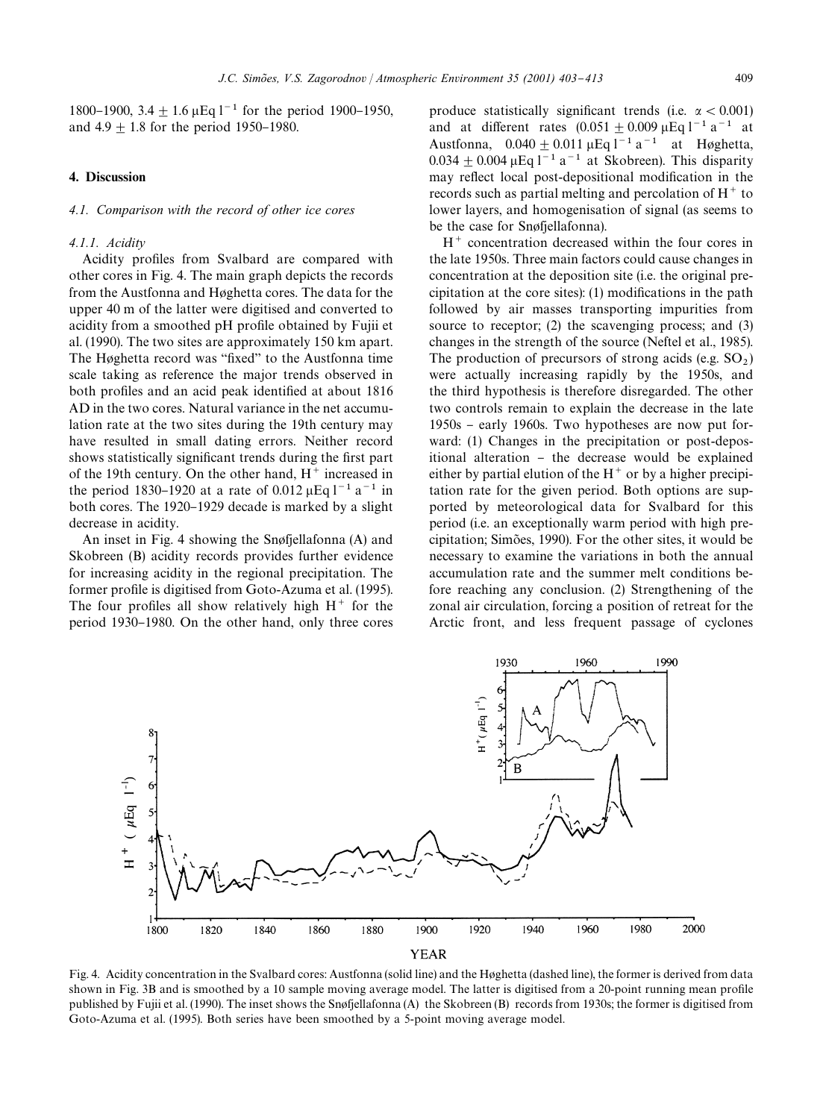1800–1900, 3.4  $\pm$  1.6  $\mu$ Eq l<sup>-1</sup> for the period 1900–1950, and  $4.9 \pm 1.8$  for the period 1950–1980.

## 4. Discussion

#### *4.1. Comparison with the record of other ice cores*

## *4.1.1. Acidity*

Acidity profiles from Svalbard are compared with other cores in Fig. 4. The main graph depicts the records from the Austfonna and Høghetta cores. The data for the upper 40 m of the latter were digitised and converted to acidity from a smoothed pH profile obtained by Fujii et al. (1990). The two sites are approximately 150 km apart. The Høghetta record was "fixed" to the Austfonna time scale taking as reference the major trends observed in both profiles and an acid peak identified at about 1816 AD in the two cores. Natural variance in the net accumulation rate at the two sites during the 19th century may have resulted in small dating errors. Neither record shows statistically significant trends during the first part of the 19th century. On the other hand,  $H^+$  increased in the period 1830–1920 at a rate of 0.012  $\mu$ Eq l<sup>-1</sup> a<sup>-1</sup> in both cores. The 1920–1929 decade is marked by a slight decrease in acidity.

An inset in Fig. 4 showing the Snøfjellafonna (A) and Skobreen (B) acidity records provides further evidence for increasing acidity in the regional precipitation. The former profile is digitised from Goto-Azuma et al. (1995). The four profiles all show relatively high  $H^+$  for the period 1930–1980. On the other hand, only three cores produce statistically significant trends (i.e.  $\alpha$  < 0.001) and at different rates  $(0.051 \pm 0.009 \,\mu\text{Eq } l^{-1} \text{ a}^{-1})$  at Austfonna,  $0.040 \pm 0.011 \,\mu\text{Eq } l^{-1} a^{-1}$  at Høghetta,  $0.034 + 0.004 \,\mu\text{Eq } l^{-1} \text{ a}^{-1}$  at Skobreen). This disparity may reflect local post-depositional modification in the records such as partial melting and percolation of  $H<sup>+</sup>$  to lower layers, and homogenisation of signal (as seems to be the case for Snøfjellafonna).

 $H^+$  concentration decreased within the four cores in the late 1950s. Three main factors could cause changes in concentration at the deposition site (i.e. the original precipitation at the core sites):  $(1)$  modifications in the path followed by air masses transporting impurities from source to receptor; (2) the scavenging process; and (3) changes in the strength of the source (Neftel et al., 1985). The production of precursors of strong acids  $(e.g. SO<sub>2</sub>)$ were actually increasing rapidly by the 1950s, and the third hypothesis is therefore disregarded. The other two controls remain to explain the decrease in the late  $1950s$  – early 1960s. Two hypotheses are now put forward: (1) Changes in the precipitation or post-depositional alteration - the decrease would be explained either by partial elution of the  $H^+$  or by a higher precipitation rate for the given period. Both options are supported by meteorological data for Svalbard for this period (i.e. an exceptionally warm period with high precipitation; Simões, 1990). For the other sites, it would be necessary to examine the variations in both the annual accumulation rate and the summer melt conditions before reaching any conclusion. (2) Strengthening of the zonal air circulation, forcing a position of retreat for the Arctic front, and less frequent passage of cyclones



Fig. 4. Acidity concentration in the Svalbard cores: Austfonna (solid line) and the Høghetta (dashed line), the former is derived from data shown in Fig. 3B and is smoothed by a 10 sample moving average model. The latter is digitised from a 20-point running mean profile published by Fujii et al. (1990). The inset shows the Snøfjellafonna (A) the Skobreen (B) records from 1930s; the former is digitised from Goto-Azuma et al. (1995). Both series have been smoothed by a 5-point moving average model.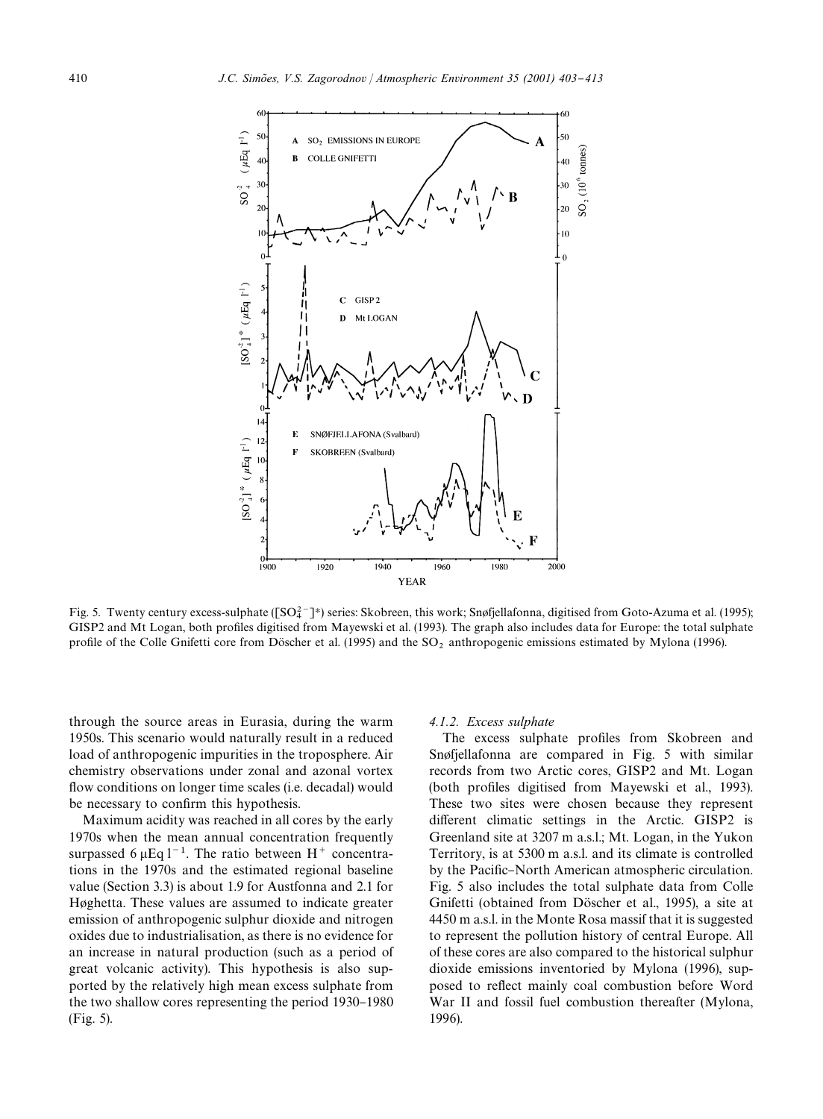

Fig. 5. Twenty century excess-sulphate ( $[SO_4^2$ <sup>-</sup>)\*) series: Skobreen, this work; Snøfjellafonna, digitised from Goto-Azuma et al. (1995); GISP2 and Mt Logan, both profiles digitised from Mayewski et al. (1993). The graph also includes data for Europe: the total sulphate profile of the Colle Gnifetti core from Döscher et al. (1995) and the SO<sub>2</sub> anthropogenic emissions estimated by Mylona (1996).

through the source areas in Eurasia, during the warm 1950s. This scenario would naturally result in a reduced load of anthropogenic impurities in the troposphere. Air chemistry observations under zonal and azonal vortex flow conditions on longer time scales (i.e. decadal) would be necessary to confirm this hypothesis.

Maximum acidity was reached in all cores by the early 1970s when the mean annual concentration frequently surpassed 6  $\mu$ Eq l<sup>-1</sup>. The ratio between H<sup>+</sup> concentrations in the 1970s and the estimated regional baseline value (Section 3.3) is about 1.9 for Austfonna and 2.1 for Høghetta. These values are assumed to indicate greater emission of anthropogenic sulphur dioxide and nitrogen oxides due to industrialisation, as there is no evidence for an increase in natural production (such as a period of great volcanic activity). This hypothesis is also supported by the relatively high mean excess sulphate from the two shallow cores representing the period  $1930-1980$ (Fig. 5).

#### *4.1.2. Excess sulphate*

The excess sulphate profiles from Skobreen and Snøfjellafonna are compared in Fig. 5 with similar records from two Arctic cores, GISP2 and Mt. Logan (both profiles digitised from Mayewski et al., 1993). These two sites were chosen because they represent different climatic settings in the Arctic. GISP2 is Greenland site at 3207 m a.s.l.; Mt. Logan, in the Yukon Territory, is at 5300 m a.s.l. and its climate is controlled by the Pacific-North American atmospheric circulation. Fig. 5 also includes the total sulphate data from Colle Gnifetti (obtained from Döscher et al., 1995), a site at 4450 m a.s.l. in the Monte Rosa massif that it is suggested to represent the pollution history of central Europe. All of these cores are also compared to the historical sulphur dioxide emissions inventoried by Mylona (1996), supposed to reflect mainly coal combustion before Word War II and fossil fuel combustion thereafter (Mylona, 1996).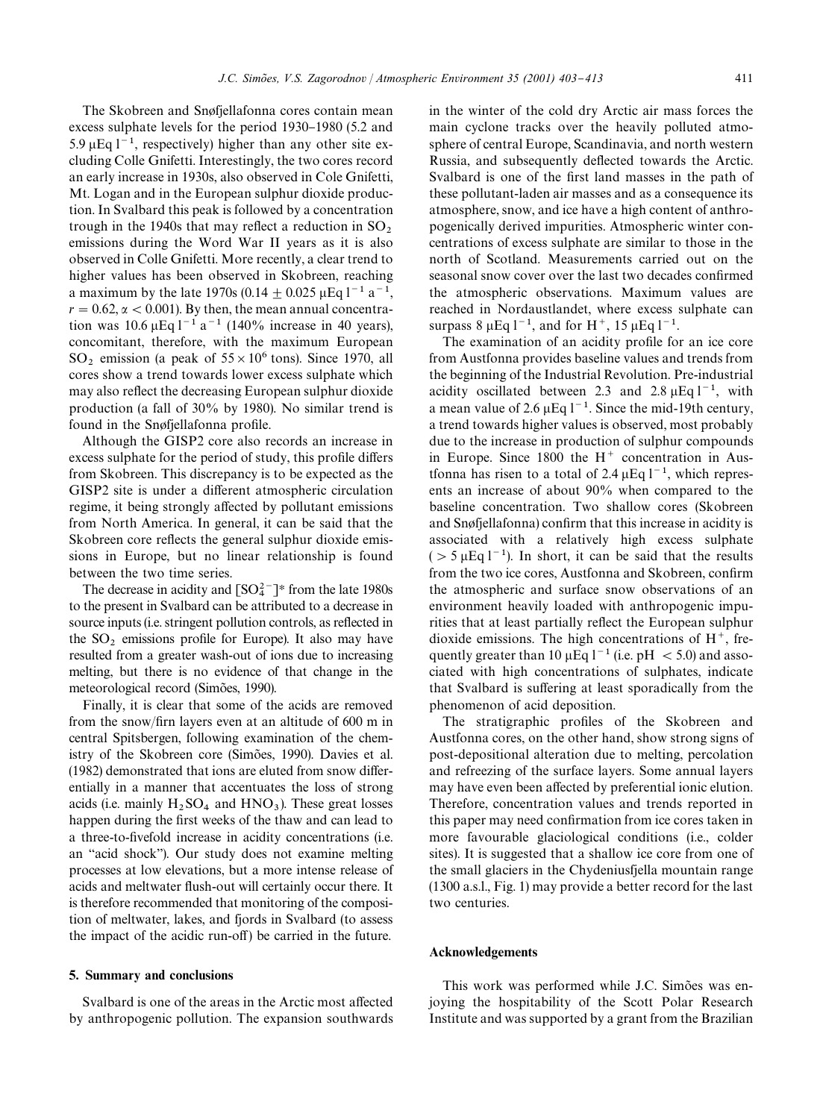The Skobreen and Snøfjellafonna cores contain mean excess sulphate levels for the period 1930-1980 (5.2 and 5.9  $\mu$ Eq l<sup>-1</sup>, respectively) higher than any other site excluding Colle Gnifetti. Interestingly, the two cores record an early increase in 1930s, also observed in Cole Gnifetti, Mt. Logan and in the European sulphur dioxide production. In Svalbard this peak is followed by a concentration trough in the 1940s that may reflect a reduction in  $SO_2$  emissions during the Word War II years as it is also observed in Colle Gnifetti. More recently, a clear trend to higher values has been observed in Skobreen, reaching a maximum by the late 1970s (0.14  $\pm$  0.025  $\mu$ Eq l<sup>-1</sup> a<sup>-1</sup>,  $r = 0.62$ ,  $\alpha < 0.001$ ). By then, the mean annual concentration was  $10.6 \,\mu\text{Eq } l^{-1} \text{ a}^{-1}$  (140% increase in 40 years), concomitant, therefore, with the maximum European  $SO_2$  emission (a peak of  $55 \times 10^6$  tons). Since 1970, all cores show a trend towards lower excess sulphate which may also reflect the decreasing European sulphur dioxide production (a fall of 30% by 1980). No similar trend is found in the Snøfjellafonna profile.

Although the GISP2 core also records an increase in excess sulphate for the period of study, this profile differs from Skobreen. This discrepancy is to be expected as the GISP2 site is under a different atmospheric circulation regime, it being strongly affected by pollutant emissions from North America. In general, it can be said that the Skobreen core reflects the general sulphur dioxide emissions in Europe, but no linear relationship is found between the two time series.

The decrease in acidity and  $\lceil SO_4^{2-} \rceil^*$  from the late 1980s to the present in Svalbard can be attributed to a decrease in source inputs (i.e. stringent pollution controls, as reflected in the  $SO_2$  emissions profile for Europe). It also may have resulted from a greater wash-out of ions due to increasing melting, but there is no evidence of that change in the meteorological record (Simões, 1990).

Finally, it is clear that some of the acids are removed from the snow/firn layers even at an altitude of 600 m in central Spitsbergen, following examination of the chemistry of the Skobreen core (Simões, 1990). Davies et al.  $(1982)$  demonstrated that ions are eluted from snow differentially in a manner that accentuates the loss of strong acids (i.e. mainly  $H_2SO_4$  and  $HNO_3$ ). These great losses happen during the first weeks of the thaw and can lead to a three-to-fivefold increase in acidity concentrations (i.e. an "acid shock"). Our study does not examine melting processes at low elevations, but a more intense release of acids and meltwater flush-out will certainly occur there. It is therefore recommended that monitoring of the composition of meltwater, lakes, and fjords in Svalbard (to assess the impact of the acidic run-off) be carried in the future.

#### 5. Summary and conclusions

Svalbard is one of the areas in the Arctic most affected by anthropogenic pollution. The expansion southwards in the winter of the cold dry Arctic air mass forces the main cyclone tracks over the heavily polluted atmosphere of central Europe, Scandinavia, and north western Russia, and subsequently deflected towards the Arctic. Svalbard is one of the first land masses in the path of these pollutant-laden air masses and as a consequence its atmosphere, snow, and ice have a high content of anthropogenically derived impurities. Atmospheric winter concentrations of excess sulphate are similar to those in the north of Scotland. Measurements carried out on the seasonal snow cover over the last two decades confirmed the atmospheric observations. Maximum values are reached in Nordaustlandet, where excess sulphate can surpass 8  $\mu$ Eq 1<sup>-1</sup>, and for H<sup>+</sup>, 15  $\mu$ Eq 1<sup>-1</sup>.

The examination of an acidity profile for an ice core from Austfonna provides baseline values and trends from the beginning of the Industrial Revolution. Pre-industrial acidity oscillated between 2.3 and 2.8  $\mu$ Eq l<sup>-1</sup>, with a mean value of 2.6  $\mu$ Eq l<sup>-1</sup>. Since the mid-19th century, a trend towards higher values is observed, most probably due to the increase in production of sulphur compounds in Europe. Since  $1800$  the H<sup>+</sup> concentration in Austfonna has risen to a total of 2.4  $\mu$ Eq l<sup>-1</sup>, which represents an increase of about 90% when compared to the baseline concentration. Two shallow cores (Skobreen and Snøfjellafonna) confirm that this increase in acidity is associated with a relatively high excess sulphate ( $> 5 \mu$ Eq l<sup>-1</sup>). In short, it can be said that the results from the two ice cores, Austfonna and Skobreen, confirm the atmospheric and surface snow observations of an environment heavily loaded with anthropogenic impurities that at least partially reflect the European sulphur dioxide emissions. The high concentrations of  $H^+$ , frequently greater than 10  $\mu$ Eq l<sup>-1</sup> (i.e. pH < 5.0) and associated with high concentrations of sulphates, indicate that Svalbard is suffering at least sporadically from the phenomenon of acid deposition.

The stratigraphic profiles of the Skobreen and Austfonna cores, on the other hand, show strong signs of post-depositional alteration due to melting, percolation and refreezing of the surface layers. Some annual layers may have even been affected by preferential ionic elution. Therefore, concentration values and trends reported in this paper may need confirmation from ice cores taken in more favourable glaciological conditions (i.e., colder sites). It is suggested that a shallow ice core from one of the small glaciers in the Chydeniusfjella mountain range (1300 a.s.l., Fig. 1) may provide a better record for the last two centuries.

## Acknowledgements

This work was performed while J.C. Simões was enjoying the hospitability of the Scott Polar Research Institute and was supported by a grant from the Brazilian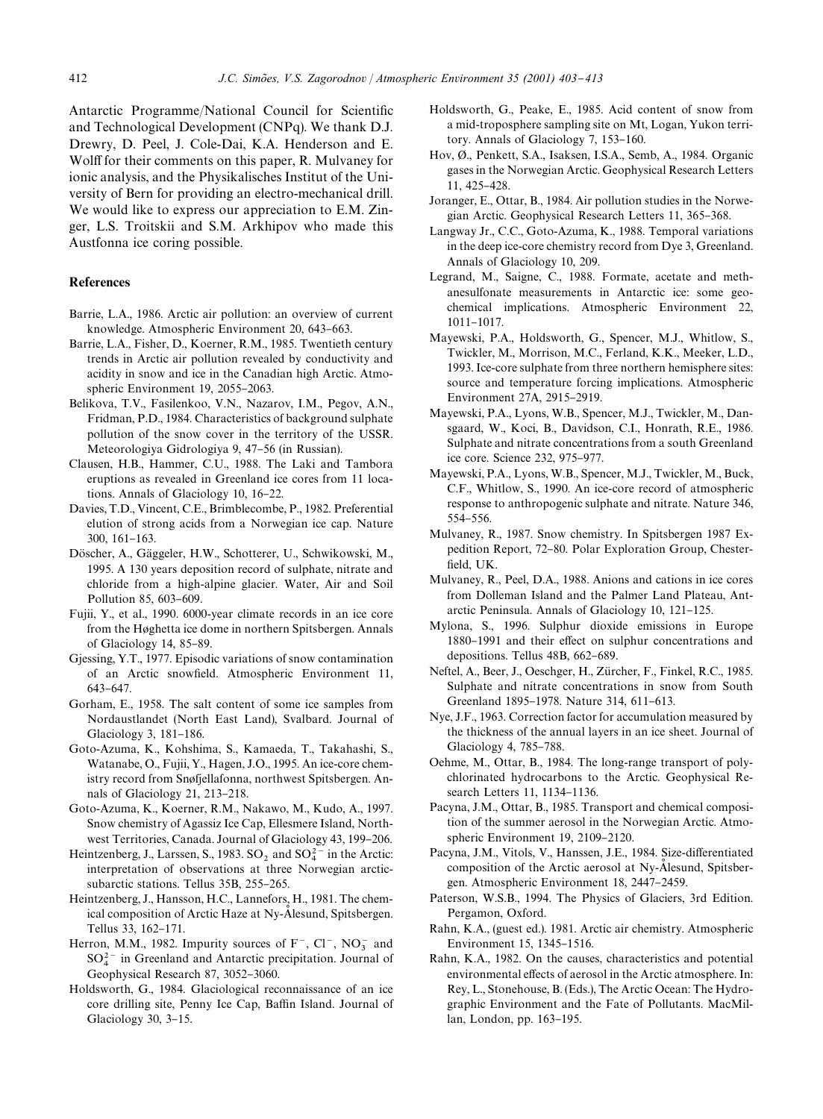Antarctic Programme/National Council for Scientific and Technological Development (CNPq). We thank D.J. Drewry, D. Peel, J. Cole-Dai, K.A. Henderson and E. Wolff for their comments on this paper, R. Mulvaney for ionic analysis, and the Physikalisches Institut of the University of Bern for providing an electro-mechanical drill. We would like to express our appreciation to E.M. Zinger, L.S. Troitskii and S.M. Arkhipov who made this Austfonna ice coring possible.

## References

- Barrie, L.A., 1986. Arctic air pollution: an overview of current knowledge. Atmospheric Environment 20, 643-663.
- Barrie, L.A., Fisher, D., Koerner, R.M., 1985. Twentieth century trends in Arctic air pollution revealed by conductivity and acidity in snow and ice in the Canadian high Arctic. Atmospheric Environment 19, 2055-2063.
- Belikova, T.V., Fasilenkoo, V.N., Nazarov, I.M., Pegov, A.N., Fridman, P.D., 1984. Characteristics of background sulphate pollution of the snow cover in the territory of the USSR. Meteorologiya Gidrologiya 9, 47-56 (in Russian).
- Clausen, H.B., Hammer, C.U., 1988. The Laki and Tambora eruptions as revealed in Greenland ice cores from 11 locations. Annals of Glaciology  $10, 16-22$ .
- Davies, T.D., Vincent, C.E., Brimblecombe, P., 1982. Preferential elution of strong acids from a Norwegian ice cap. Nature 300, 161-163.
- Döscher, A., Gäggeler, H.W., Schotterer, U., Schwikowski, M., 1995. A 130 years deposition record of sulphate, nitrate and chloride from a high-alpine glacier. Water, Air and Soil Pollution 85, 603-609.
- Fujii, Y., et al., 1990. 6000-year climate records in an ice core from the Høghetta ice dome in northern Spitsbergen. Annals of Glaciology  $14, 85-89$ .
- Gjessing, Y.T., 1977. Episodic variations of snow contamination of an Arctic snowfield. Atmospheric Environment 11, 643-647.
- Gorham, E., 1958. The salt content of some ice samples from Nordaustlandet (North East Land), Svalbard. Journal of Glaciology 3, 181-186.
- Goto-Azuma, K., Kohshima, S., Kamaeda, T., Takahashi, S., Watanabe, O., Fujii, Y., Hagen, J.O., 1995. An ice-core chemistry record from Snøfjellafonna, northwest Spitsbergen. Annals of Glaciology 21, 213-218.
- Goto-Azuma, K., Koerner, R.M., Nakawo, M., Kudo, A., 1997. Snow chemistry of Agassiz Ice Cap, Ellesmere Island, Northwest Territories, Canada. Journal of Glaciology 43, 199-206.
- Heintzenberg, J., Larssen, S., 1983.  $SO_2$  and  $SO_4^{2-}$  in the Arctic: interpretation of observations at three Norwegian arcticsubarctic stations. Tellus 35B, 255-265.
- Heintzenberg, J., Hansson, H.C., Lannefors, H., 1981. The chemical composition of Arctic Haze at Ny-Alesund, Spitsbergen. Tellus 33, 162-171.
- Herron, M.M., 1982. Impurity sources of  $F^-$ ,  $Cl^-$ ,  $NO_3^-$  and  $SO_4^{2-}$  in Greenland and Antarctic precipitation. Journal of Geophysical Research 87, 3052-3060.
- Holdsworth, G., 1984. Glaciological reconnaissance of an ice core drilling site, Penny Ice Cap, Baffin Island. Journal of Glaciology  $30, 3-15$ .
- Holdsworth, G., Peake, E., 1985. Acid content of snow from a mid-troposphere sampling site on Mt, Logan, Yukon territory. Annals of Glaciology 7, 153-160.
- Hov, Ø., Penkett, S.A., Isaksen, I.S.A., Semb, A., 1984. Organic gases in the Norwegian Arctic. Geophysical Research Letters 11, 425-428.
- Joranger, E., Ottar, B., 1984. Air pollution studies in the Norwegian Arctic. Geophysical Research Letters 11, 365-368.
- Langway Jr., C.C., Goto-Azuma, K., 1988. Temporal variations in the deep ice-core chemistry record from Dye 3, Greenland. Annals of Glaciology 10, 209.
- Legrand, M., Saigne, C., 1988. Formate, acetate and methanesulfonate measurements in Antarctic ice: some geochemical implications. Atmospheric Environment 22, 1011}1017.
- Mayewski, P.A., Holdsworth, G., Spencer, M.J., Whitlow, S., Twickler, M., Morrison, M.C., Ferland, K.K., Meeker, L.D., 1993. Ice-core sulphate from three northern hemisphere sites: source and temperature forcing implications. Atmospheric Environment 27A, 2915-2919.
- Mayewski, P.A., Lyons, W.B., Spencer, M.J., Twickler, M., Dansgaard, W., Koci, B., Davidson, C.I., Honrath, R.E., 1986. Sulphate and nitrate concentrations from a south Greenland ice core. Science 232, 975-977.
- Mayewski, P.A., Lyons, W.B., Spencer, M.J., Twickler, M., Buck, C.F., Whitlow, S., 1990. An ice-core record of atmospheric response to anthropogenic sulphate and nitrate. Nature 346, 554-556.
- Mulvaney, R., 1987. Snow chemistry. In Spitsbergen 1987 Expedition Report, 72-80. Polar Exploration Group, Chesterfield, UK.
- Mulvaney, R., Peel, D.A., 1988. Anions and cations in ice cores from Dolleman Island and the Palmer Land Plateau, Antarctic Peninsula. Annals of Glaciology 10, 121-125.
- Mylona, S., 1996. Sulphur dioxide emissions in Europe 1880–1991 and their effect on sulphur concentrations and depositions. Tellus 48B, 662-689.
- Neftel, A., Beer, J., Oeschger, H., Zürcher, F., Finkel, R.C., 1985. Sulphate and nitrate concentrations in snow from South Greenland 1895-1978. Nature 314, 611-613.
- Nye, J.F., 1963. Correction factor for accumulation measured by the thickness of the annual layers in an ice sheet. Journal of Glaciology 4, 785-788.
- Oehme, M., Ottar, B., 1984. The long-range transport of polychlorinated hydrocarbons to the Arctic. Geophysical Research Letters 11, 1134-1136.
- Pacyna, J.M., Ottar, B., 1985. Transport and chemical composition of the summer aerosol in the Norwegian Arctic. Atmospheric Environment 19, 2109-2120.
- Pacyna, J.M., Vitols, V., Hanssen, J.E., 1984. Size-differentiated composition of the Arctic aerosol at Ny-Alesund, Spitsbergen. Atmospheric Environment 18, 2447-2459.
- Paterson, W.S.B., 1994. The Physics of Glaciers, 3rd Edition. Pergamon, Oxford.
- Rahn, K.A., (guest ed.). 1981. Arctic air chemistry. Atmospheric Environment 15, 1345-1516.
- Rahn, K.A., 1982. On the causes, characteristics and potential environmental effects of aerosol in the Arctic atmosphere. In: Rey, L., Stonehouse, B. (Eds.), The Arctic Ocean: The Hydrographic Environment and the Fate of Pollutants. MacMillan, London, pp. 163-195.